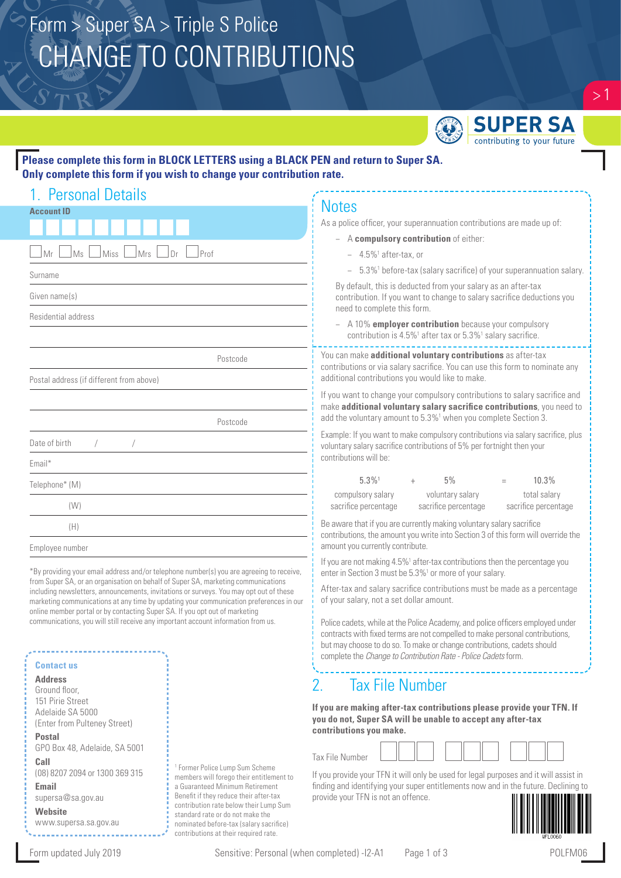# CHANGE TO CONTRIBUTIONS Form > Super SA > Triple S Police



 $>1$ 

### **Please complete this form in BLOCK LETTERS using a BLACK PEN and return to Super SA. Only complete this form if you wish to change your contribution rate.**

#### Notes As a police officer, your superannuation contributions are made up of: − A **compulsory contribution** of either: − 4.5%1 after-tax, or By default, this is deducted from your salary as an after-tax need to complete this form. − A 10% **employer contribution** because your compulsory contribution is  $4.5\%$ <sup>1</sup> after tax or  $5.3\%$ <sup>1</sup> salary sacrifice. You can make **additional voluntary contributions** as after-tax additional contributions you would like to make. If you want to change your compulsory contributions to salary sacrifice and add the voluntary amount to 5.3%<sup>1</sup> when you complete Section 3. voluntary salary sacrifice contributions of 5% per fortnight then your contributions will be: 5.3%1  $+ 5\% = 10.3\%$  compulsory salary voluntary salary total salary Be aware that if you are currently making voluntary salary sacrifice amount you currently contribute. enter in Section 3 must be 5.3%<sup>1</sup> or more of your salary. After-tax and salary sacrifice contributions must be made as a percentage 1. Personal Details Mr Ms Miss Mrs Dr Prof Surname Given name(s) Residential address Postcode and the Postcode Postal address (if different from above) Postcode Date of birth Email\* Telephone\* (M) (W) (H) Employee number \*By providing your email address and/or telephone number(s) you are agreeing to receive, from Super SA, or an organisation on behalf of Super SA, marketing communications including newsletters, announcements, invitations or surveys. You may opt out of these **Account ID**

marketing communications at any time by updating your communication preferences in our online member portal or by contacting Super SA. If you opt out of marketing communications, you will still receive any important account information from us.

### **Contact us**

#### **Address**

Ground floor, 151 Pirie Street Adelaide SA 5000 (Enter from Pulteney Street)

**Postal**  GPO Box 48, Adelaide, SA 5001

**Call**  (08) 8207 2094 or 1300 369 315

**Email** supersa@sa.gov.au **Website**

www.supersa.sa.gov.au

1 Former Police Lump Sum Scheme members will forego their entitlement to a Guaranteed Minimum Retirement Benefit if they reduce their after-tax contribution rate below their Lump Sum standard rate or do not make the nominated before-tax (salary sacrifice) contributions at their required rate.

− 5.3%1 before-tax (salary sacrifice) of your superannuation salary.

contribution. If you want to change to salary sacrifice deductions you

contributions or via salary sacrifice. You can use this form to nominate any

make **additional voluntary salary sacrifice contributions**, you need to

Example: If you want to make compulsory contributions via salary sacrifice, plus

| $5.3\%$ <sup>1</sup> | 5%                   | $=$ | 10.3%                |
|----------------------|----------------------|-----|----------------------|
| compulsory salary    | voluntary salary     |     | total salary         |
| sacrifice percentage | sacrifice percentage |     | sacrifice percentage |

contributions, the amount you write into Section 3 of this form will override the

If you are not making 4.5%<sup>1</sup> after-tax contributions then the percentage you

of your salary, not a set dollar amount.

Police cadets, while at the Police Academy, and police officers employed under contracts with fixed terms are not compelled to make personal contributions, but may choose to do so. To make or change contributions, cadets should complete the *Change to Contribution Rate - Police Cadets* form.

## 2. Tax File Number

**If you are making after-tax contributions please provide your TFN. If you do not, Super SA will be unable to accept any after-tax contributions you make.**

| Tax File Number |  |  |
|-----------------|--|--|

If you provide your TFN it will only be used for legal purposes and it will assist in finding and identifying your super entitlements now and in the future. Declining to provide your TFN is not an offence.



Form updated July 2019 **Sensitive: Personal (when completed)** -12-A1 Page 1 of 3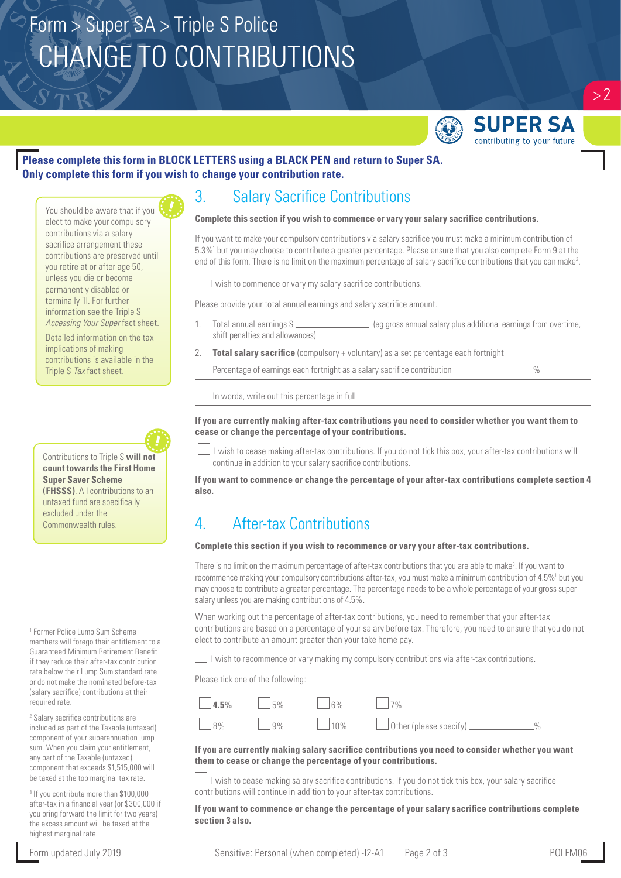# CHANGE TO CONTRIBUTIONS Form > Super SA > Triple S Police



 $> 2$ 

### **Please complete this form in BLOCK LETTERS using a BLACK PEN and return to Super SA. Only complete this form if you wish to change your contribution rate.**

You should be aware that if you elect to make your compulsory contributions via a salary sacrifice arrangement these contributions are preserved until you retire at or after age 50, unless you die or become permanently disabled or terminally ill. For further information see the Triple S *Accessing Your Super* fact sheet.

Detailed information on the tax implications of making contributions is available in the Triple S *Tax* fact sheet.



Contributions to Triple S **will not count towards the First Home Super Saver Scheme (FHSSS)**. All contributions to an untaxed fund are specifically excluded under the Commonwealth rules.

1 Former Police Lump Sum Scheme members will forego their entitlement to a Guaranteed Minimum Retirement Benefit if they reduce their after-tax contribution rate below their Lump Sum standard rate or do not make the nominated before-tax (salary sacrifice) contributions at their required rate.

2 Salary sacrifice contributions are included as part of the Taxable (untaxed) component of your superannuation lump sum. When you claim your entitlement, any part of the Taxable (untaxed) component that exceeds \$1,515,000 will be taxed at the top marginal tax rate.

3 If you contribute more than \$100,000 after-tax in a financial year (or \$300,000 if you bring forward the limit for two years) the excess amount will be taxed at the highest marginal rate.

## 3. Salary Sacrifice Contributions

#### **Complete this section if you wish to commence or vary your salary sacrifice contributions.**

If you want to make your compulsory contributions via salary sacrifice you must make a minimum contribution of 5.3%1 but you may choose to contribute a greater percentage. Please ensure that you also complete Form 9 at the end of this form. There is no limit on the maximum percentage of salary sacrifice contributions that you can make<sup>2</sup>.

 $\Box$  I wish to commence or vary my salary sacrifice contributions.

Please provide your total annual earnings and salary sacrifice amount.

- 1. Total annual earnings \$ shift penalties and allowances)
- 2. **Total salary sacrifice** (compulsory + voluntary) as a set percentage each fortnight

Percentage of earnings each fortnight as a salary sacrifice contribution  $\%$ 

In words, write out this percentage in full

**If you are currently making after-tax contributions you need to consider whether you want them to cease or change the percentage of your contributions.**

 I wish to cease making after-tax contributions. If you do not tick this box, your after-tax contributions will continue in addition to your salary sacrifice contributions.

**If you want to commence or change the percentage of your after-tax contributions complete section 4 also.** 

# 4. After-tax Contributions

#### **Complete this section if you wish to recommence or vary your after-tax contributions.**

There is no limit on the maximum percentage of after-tax contributions that you are able to make<sup>3</sup>. If you want to recommence making your compulsory contributions after-tax, you must make a minimum contribution of 4.5%<sup>1</sup> but you may choose to contribute a greater percentage. The percentage needs to be a whole percentage of your gross super salary unless you are making contributions of 4.5%.

When working out the percentage of after-tax contributions, you need to remember that your after-tax contributions are based on a percentage of your salary before tax. Therefore, you need to ensure that you do not elect to contribute an amount greater than your take home pay.

 $\perp$  I wish to recommence or vary making my compulsory contributions via after-tax contributions.

Please tick one of the following:

|  | $\sqrt{4.5\%}$ 5% 6% 7% |                                                                     |               |
|--|-------------------------|---------------------------------------------------------------------|---------------|
|  |                         | $\Box$ 8% $\Box$ 9% $\Box$ 10% $\Box$ Other (please specify) $\Box$ | $\frac{0}{0}$ |

**If you are currently making salary sacrifice contributions you need to consider whether you want them to cease or change the percentage of your contributions.**



 $\perp$  I wish to cease making salary sacrifice contributions. If you do not tick this box, your salary sacrifice contributions will continue in addition to your after-tax contributions.

**If you want to commence or change the percentage of your salary sacrifice contributions complete section 3 also.**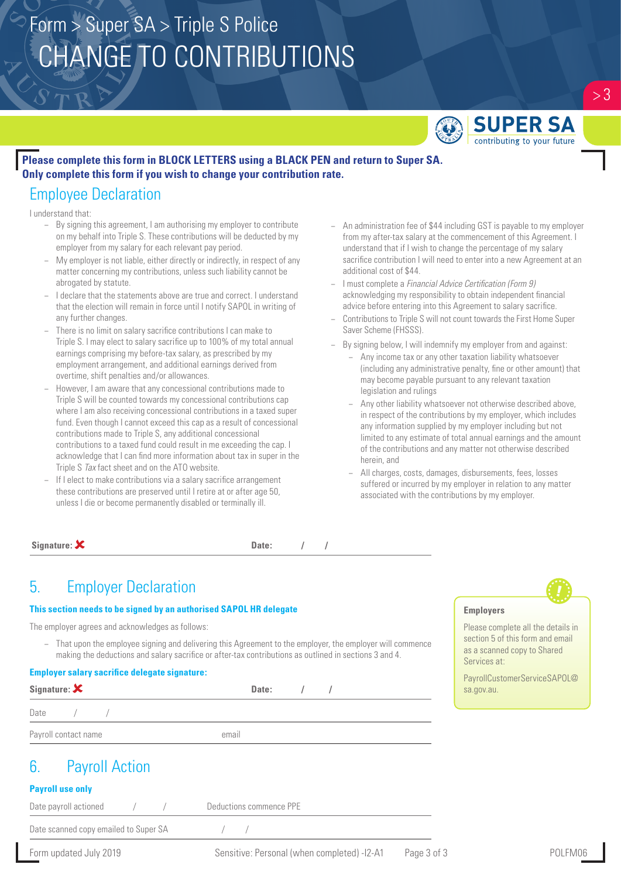# CHANGE TO CONTRIBUTIONS Form > Super SA > Triple S Police



 $> 3$ 

## **Please complete this form in BLOCK LETTERS using a BLACK PEN and return to Super SA. Only complete this form if you wish to change your contribution rate.**

## Employee Declaration

I understand that:

- − By signing this agreement, I am authorising my employer to contribute on my behalf into Triple S. These contributions will be deducted by my employer from my salary for each relevant pay period.
- My employer is not liable, either directly or indirectly, in respect of any matter concerning my contributions, unless such liability cannot be abrogated by statute.
- − I declare that the statements above are true and correct. I understand that the election will remain in force until I notify SAPOL in writing of any further changes.
- − There is no limit on salary sacrifice contributions I can make to Triple S. I may elect to salary sacrifice up to 100% of my total annual earnings comprising my before-tax salary, as prescribed by my employment arrangement, and additional earnings derived from overtime, shift penalties and/or allowances.
- − However, I am aware that any concessional contributions made to Triple S will be counted towards my concessional contributions cap where I am also receiving concessional contributions in a taxed super fund. Even though I cannot exceed this cap as a result of concessional contributions made to Triple S, any additional concessional contributions to a taxed fund could result in me exceeding the cap. I acknowledge that I can find more information about tax in super in the Triple S *Tax* fact sheet and on the ATO website.
- − If I elect to make contributions via a salary sacrifice arrangement these contributions are preserved until I retire at or after age 50, unless I die or become permanently disabled or terminally ill.
- − An administration fee of \$44 including GST is payable to my employer from my after-tax salary at the commencement of this Agreement. I understand that if I wish to change the percentage of my salary sacrifice contribution I will need to enter into a new Agreement at an additional cost of \$44.
- − I must complete a *Financial Advice Certification (Form 9)* acknowledging my responsibility to obtain independent financial advice before entering into this Agreement to salary sacrifice.
- − Contributions to Triple S will not count towards the First Home Super Saver Scheme (FHSSS).
- By signing below, I will indemnify my employer from and against:
	- Any income tax or any other taxation liability whatsoever (including any administrative penalty, fine or other amount) that may become payable pursuant to any relevant taxation legislation and rulings
	- Any other liability whatsoever not otherwise described above, in respect of the contributions by my employer, which includes any information supplied by my employer including but not limited to any estimate of total annual earnings and the amount of the contributions and any matter not otherwise described herein, and
	- − All charges, costs, damages, disbursements, fees, losses suffered or incurred by my employer in relation to any matter associated with the contributions by my employer.

**Employers**

Services at:

Please complete all the details in section 5 of this form and email as a scanned copy to Shared

| Signature: $\mathsf{\times}$ |  | Date: |  |
|------------------------------|--|-------|--|
|------------------------------|--|-------|--|

 $\mathbf{A}$ 

# 5. Employer Declaration

### **This section needs to be signed by an authorised SAPOL HR delegate**

The employer agrees and acknowledges as follows:

That upon the employee signing and delivering this Agreement to the employer, the employer will commence making the deductions and salary sacrifice or after-tax contributions as outlined in sections 3 and 4.

|  |  | <b>Employer salary sacrifice delegate signature:</b> |
|--|--|------------------------------------------------------|

| Linproyer salary sacrinee aeregate signature.<br>Signature: $\mathbf{\mathsf{X}}$ | Date: | PayrollCustomerServiceSAPOL@<br>sa.gov.au. |
|-----------------------------------------------------------------------------------|-------|--------------------------------------------|
| Date                                                                              |       |                                            |
| Payroll contact name                                                              | email |                                            |
|                                                                                   |       |                                            |

## 6. Payroll Action

## **Payroll use only**

| Date payroll actioned                 | Deductions commence PPE |
|---------------------------------------|-------------------------|
| Date scanned copy emailed to Super SA |                         |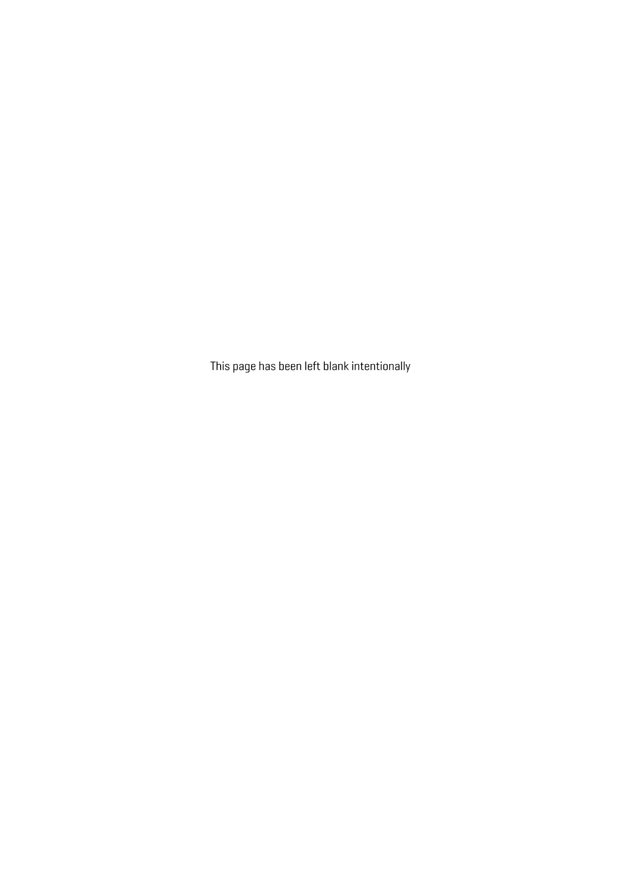This page has been left blank intentionally